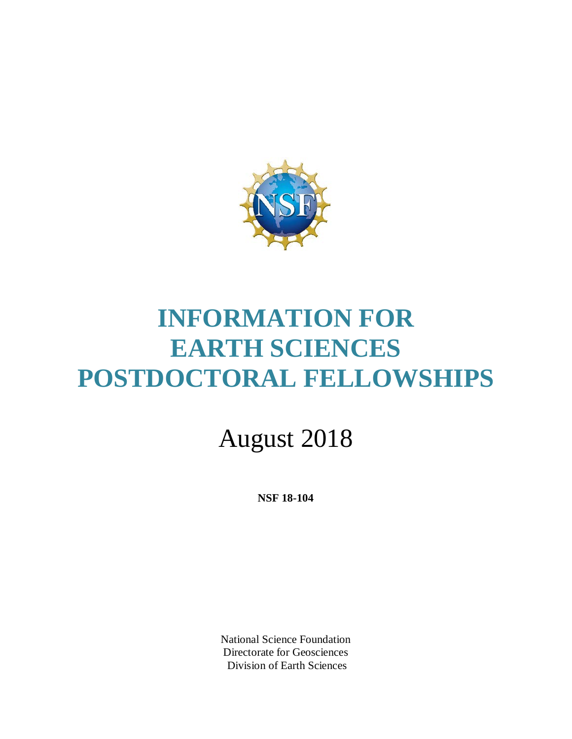

# **INFORMATION FOR EARTH SCIENCES POSTDOCTORAL FELLOWSHIPS**

# August 2018

**NSF 18-104**

National Science Foundation Directorate for Geosciences Division of Earth Sciences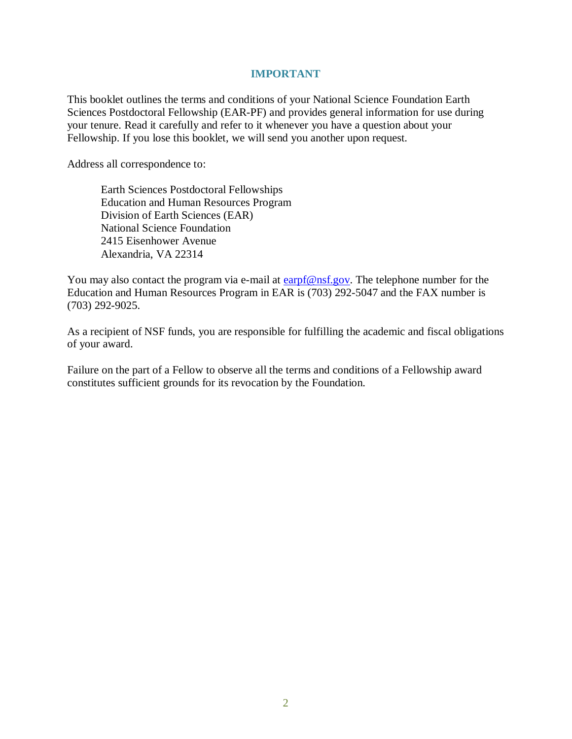#### **IMPORTANT**

This booklet outlines the terms and conditions of your National Science Foundation Earth Sciences Postdoctoral Fellowship (EAR-PF) and provides general information for use during your tenure. Read it carefully and refer to it whenever you have a question about your Fellowship. If you lose this booklet, we will send you another upon request.

Address all correspondence to:

Earth Sciences Postdoctoral Fellowships Education and Human Resources Program Division of Earth Sciences (EAR) National Science Foundation 2415 Eisenhower Avenue Alexandria, VA 22314

You may also contact the program via e-mail at  $\frac{\text{earpf@nsf.gov}}{\text{ensf.gov}}$ . The telephone number for the Education and Human Resources Program in EAR is (703) 292-5047 and the FAX number is (703) 292-9025.

As a recipient of NSF funds, you are responsible for fulfilling the academic and fiscal obligations of your award.

Failure on the part of a Fellow to observe all the terms and conditions of a Fellowship award constitutes sufficient grounds for its revocation by the Foundation.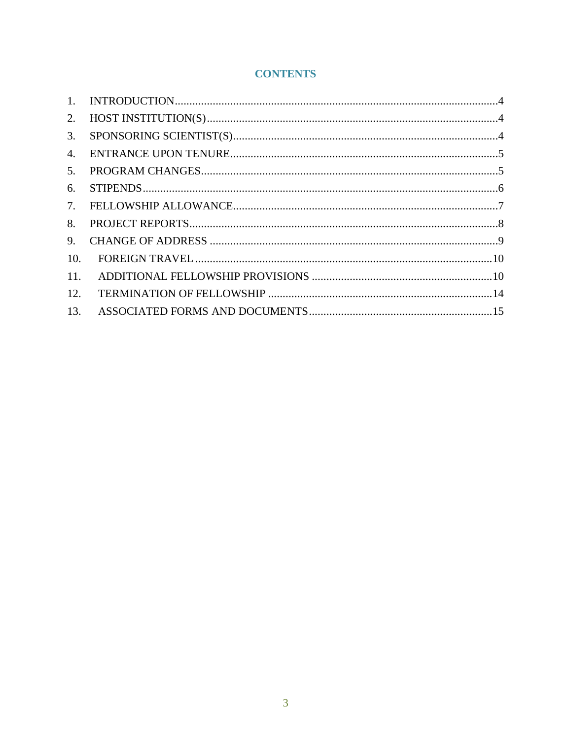# **CONTENTS**

| 2.  |  |
|-----|--|
| 3.  |  |
| 4.  |  |
| 5.  |  |
| 6.  |  |
|     |  |
| 8.  |  |
| 9.  |  |
| 10. |  |
| 11. |  |
| 12. |  |
| 13. |  |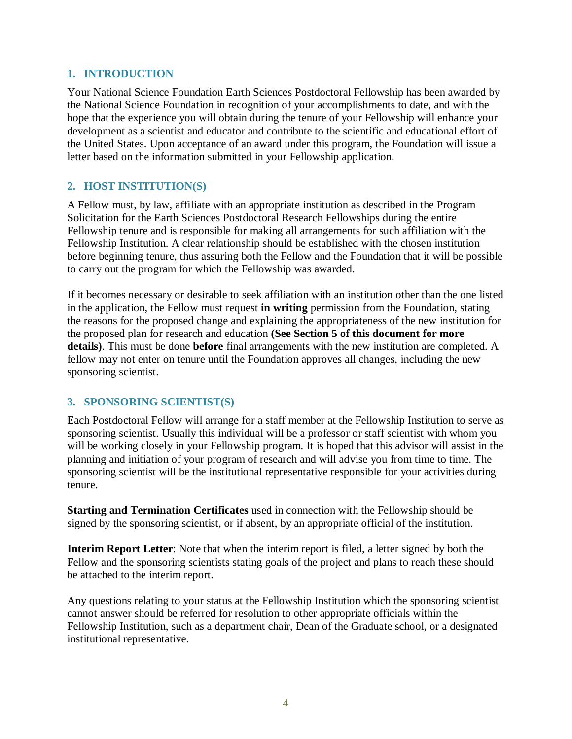#### <span id="page-3-0"></span>**1. INTRODUCTION**

Your National Science Foundation Earth Sciences Postdoctoral Fellowship has been awarded by the National Science Foundation in recognition of your accomplishments to date, and with the hope that the experience you will obtain during the tenure of your Fellowship will enhance your development as a scientist and educator and contribute to the scientific and educational effort of the United States. Upon acceptance of an award under this program, the Foundation will issue a letter based on the information submitted in your Fellowship application.

## <span id="page-3-1"></span>**2. HOST INSTITUTION(S)**

A Fellow must, by law, affiliate with an appropriate institution as described in the Program Solicitation for the Earth Sciences Postdoctoral Research Fellowships during the entire Fellowship tenure and is responsible for making all arrangements for such affiliation with the Fellowship Institution. A clear relationship should be established with the chosen institution before beginning tenure, thus assuring both the Fellow and the Foundation that it will be possible to carry out the program for which the Fellowship was awarded.

If it becomes necessary or desirable to seek affiliation with an institution other than the one listed in the application, the Fellow must request **in writing** permission from the Foundation, stating the reasons for the proposed change and explaining the appropriateness of the new institution for the proposed plan for research and education **(See Section 5 of this document for more details)**. This must be done **before** final arrangements with the new institution are completed. A fellow may not enter on tenure until the Foundation approves all changes, including the new sponsoring scientist.

## <span id="page-3-2"></span>**3. SPONSORING SCIENTIST(S)**

Each Postdoctoral Fellow will arrange for a staff member at the Fellowship Institution to serve as sponsoring scientist. Usually this individual will be a professor or staff scientist with whom you will be working closely in your Fellowship program. It is hoped that this advisor will assist in the planning and initiation of your program of research and will advise you from time to time. The sponsoring scientist will be the institutional representative responsible for your activities during tenure.

**Starting and Termination Certificates** used in connection with the Fellowship should be signed by the sponsoring scientist, or if absent, by an appropriate official of the institution.

**Interim Report Letter**: Note that when the interim report is filed, a letter signed by both the Fellow and the sponsoring scientists stating goals of the project and plans to reach these should be attached to the interim report.

Any questions relating to your status at the Fellowship Institution which the sponsoring scientist cannot answer should be referred for resolution to other appropriate officials within the Fellowship Institution, such as a department chair, Dean of the Graduate school, or a designated institutional representative.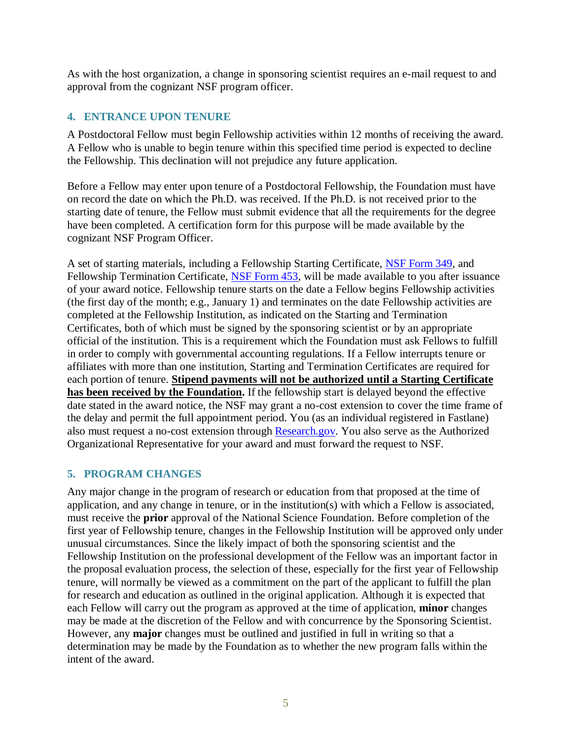As with the host organization, a change in sponsoring scientist requires an e-mail request to and approval from the cognizant NSF program officer.

## <span id="page-4-0"></span>**4. ENTRANCE UPON TENURE**

A Postdoctoral Fellow must begin Fellowship activities within 12 months of receiving the award. A Fellow who is unable to begin tenure within this specified time period is expected to decline the Fellowship. This declination will not prejudice any future application.

Before a Fellow may enter upon tenure of a Postdoctoral Fellowship, the Foundation must have on record the date on which the Ph.D. was received. If the Ph.D. is not received prior to the starting date of tenure, the Fellow must submit evidence that all the requirements for the degree have been completed. A certification form for this purpose will be made available by the cognizant NSF Program Officer.

A set of starting materials, including a Fellowship Starting Certificate, [NSF Form 349,](https://www.nsf.gov/publications/pub_summ.jsp?ods_key=fellowstartcertfm349) and Fellowship Termination Certificate, [NSF Form 453,](https://www.nsf.gov/publications/pub_summ.jsp?ods_key=fellowtermfm453) will be made available to you after issuance of your award notice. Fellowship tenure starts on the date a Fellow begins Fellowship activities (the first day of the month; e.g., January 1) and terminates on the date Fellowship activities are completed at the Fellowship Institution, as indicated on the Starting and Termination Certificates, both of which must be signed by the sponsoring scientist or by an appropriate official of the institution. This is a requirement which the Foundation must ask Fellows to fulfill in order to comply with governmental accounting regulations. If a Fellow interrupts tenure or affiliates with more than one institution, Starting and Termination Certificates are required for each portion of tenure. **Stipend payments will not be authorized until a Starting Certificate has been received by the Foundation.** If the fellowship start is delayed beyond the effective date stated in the award notice, the NSF may grant a no-cost extension to cover the time frame of the delay and permit the full appointment period. You (as an individual registered in Fastlane) also must request a no-cost extension through [Research.gov.](https://www.research.gov/) You also serve as the Authorized Organizational Representative for your award and must forward the request to NSF.

## <span id="page-4-1"></span>**5. PROGRAM CHANGES**

Any major change in the program of research or education from that proposed at the time of application, and any change in tenure, or in the institution(s) with which a Fellow is associated, must receive the **prior** approval of the National Science Foundation. Before completion of the first year of Fellowship tenure, changes in the Fellowship Institution will be approved only under unusual circumstances. Since the likely impact of both the sponsoring scientist and the Fellowship Institution on the professional development of the Fellow was an important factor in the proposal evaluation process, the selection of these, especially for the first year of Fellowship tenure, will normally be viewed as a commitment on the part of the applicant to fulfill the plan for research and education as outlined in the original application. Although it is expected that each Fellow will carry out the program as approved at the time of application, **minor** changes may be made at the discretion of the Fellow and with concurrence by the Sponsoring Scientist. However, any **major** changes must be outlined and justified in full in writing so that a determination may be made by the Foundation as to whether the new program falls within the intent of the award.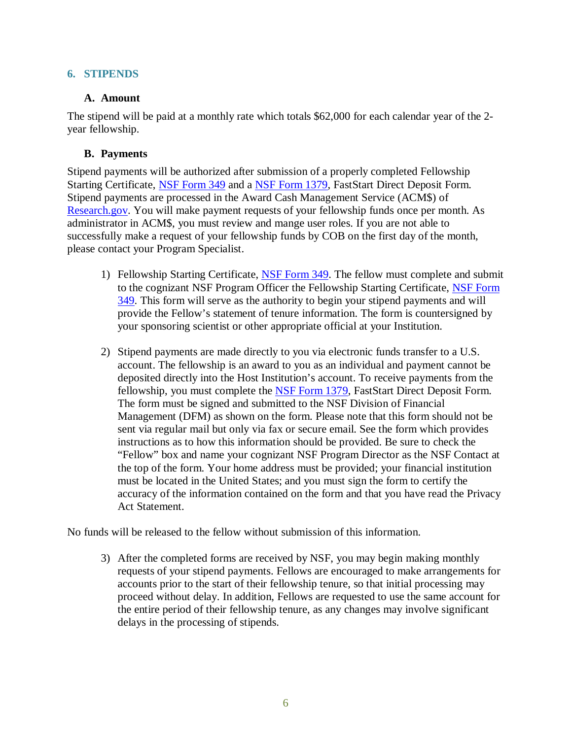#### <span id="page-5-0"></span>**6. STIPENDS**

#### **A. Amount**

The stipend will be paid at a monthly rate which totals \$62,000 for each calendar year of the 2 year fellowship.

#### **B. Payments**

Stipend payments will be authorized after submission of a properly completed Fellowship Starting Certificate, [NSF Form 349](https://www.nsf.gov/publications/pub_summ.jsp?ods_key=fellowstartcertfm349) and a [NSF Form 1379,](https://www.nsf.gov/publications/pub_summ.jsp?ods_key=faststartfm1379) FastStart Direct Deposit Form. Stipend payments are processed in the Award Cash Management Service (ACM\$) of [Research.gov.](https://www.research.gov/) You will make payment requests of your fellowship funds once per month. As administrator in ACM\$, you must review and mange user roles. If you are not able to successfully make a request of your fellowship funds by COB on the first day of the month, please contact your Program Specialist.

- 1) Fellowship Starting Certificate, [NSF Form 349.](https://www.nsf.gov/publications/pub_summ.jsp?ods_key=fellowstartcertfm349) The fellow must complete and submit to the cognizant NSF Program Officer the Fellowship Starting Certificate, NSF Form [349.](https://www.nsf.gov/publications/pub_summ.jsp?ods_key=fellowstartcertfm349) This form will serve as the authority to begin your stipend payments and will provide the Fellow's statement of tenure information. The form is countersigned by your sponsoring scientist or other appropriate official at your Institution.
- 2) Stipend payments are made directly to you via electronic funds transfer to a U.S. account. The fellowship is an award to you as an individual and payment cannot be deposited directly into the Host Institution's account. To receive payments from the fellowship, you must complete the [NSF Form 1379,](https://www.nsf.gov/publications/pub_summ.jsp?ods_key=faststartfm1379) FastStart Direct Deposit Form. The form must be signed and submitted to the NSF Division of Financial Management (DFM) as shown on the form. Please note that this form should not be sent via regular mail but only via fax or secure email. See the form which provides instructions as to how this information should be provided. Be sure to check the "Fellow" box and name your cognizant NSF Program Director as the NSF Contact at the top of the form. Your home address must be provided; your financial institution must be located in the United States; and you must sign the form to certify the accuracy of the information contained on the form and that you have read the Privacy Act Statement.

No funds will be released to the fellow without submission of this information.

3) After the completed forms are received by NSF, you may begin making monthly requests of your stipend payments. Fellows are encouraged to make arrangements for accounts prior to the start of their fellowship tenure, so that initial processing may proceed without delay. In addition, Fellows are requested to use the same account for the entire period of their fellowship tenure, as any changes may involve significant delays in the processing of stipends.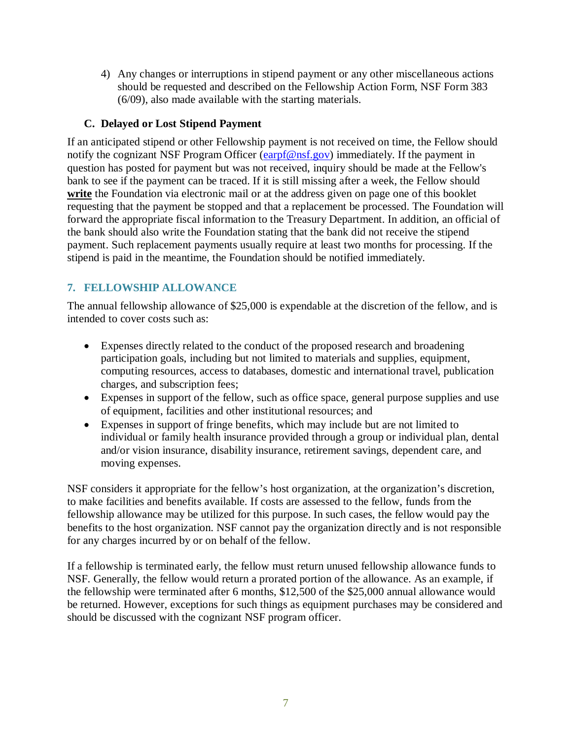4) Any changes or interruptions in stipend payment or any other miscellaneous actions should be requested and described on the Fellowship Action Form, NSF Form 383 (6/09), also made available with the starting materials.

# **C. Delayed or Lost Stipend Payment**

If an anticipated stipend or other Fellowship payment is not received on time, the Fellow should notify the cognizant NSF Program Officer [\(earpf@nsf.gov\)](mailto:earpf@nsf.gov) immediately. If the payment in question has posted for payment but was not received, inquiry should be made at the Fellow's bank to see if the payment can be traced. If it is still missing after a week, the Fellow should write the Foundation via electronic mail or at the address given on page one of this booklet requesting that the payment be stopped and that a replacement be processed. The Foundation will forward the appropriate fiscal information to the Treasury Department. In addition, an official of the bank should also write the Foundation stating that the bank did not receive the stipend payment. Such replacement payments usually require at least two months for processing. If the stipend is paid in the meantime, the Foundation should be notified immediately.

# <span id="page-6-0"></span>**7. FELLOWSHIP ALLOWANCE**

The annual fellowship allowance of \$25,000 is expendable at the discretion of the fellow, and is intended to cover costs such as:

- Expenses directly related to the conduct of the proposed research and broadening participation goals, including but not limited to materials and supplies, equipment, computing resources, access to databases, domestic and international travel, publication charges, and subscription fees;
- Expenses in support of the fellow, such as office space, general purpose supplies and use of equipment, facilities and other institutional resources; and
- Expenses in support of fringe benefits, which may include but are not limited to individual or family health insurance provided through a group or individual plan, dental and/or vision insurance, disability insurance, retirement savings, dependent care, and moving expenses.

NSF considers it appropriate for the fellow's host organization, at the organization's discretion, to make facilities and benefits available. If costs are assessed to the fellow, funds from the fellowship allowance may be utilized for this purpose. In such cases, the fellow would pay the benefits to the host organization. NSF cannot pay the organization directly and is not responsible for any charges incurred by or on behalf of the fellow.

If a fellowship is terminated early, the fellow must return unused fellowship allowance funds to NSF. Generally, the fellow would return a prorated portion of the allowance. As an example, if the fellowship were terminated after 6 months, \$12,500 of the \$25,000 annual allowance would be returned. However, exceptions for such things as equipment purchases may be considered and should be discussed with the cognizant NSF program officer.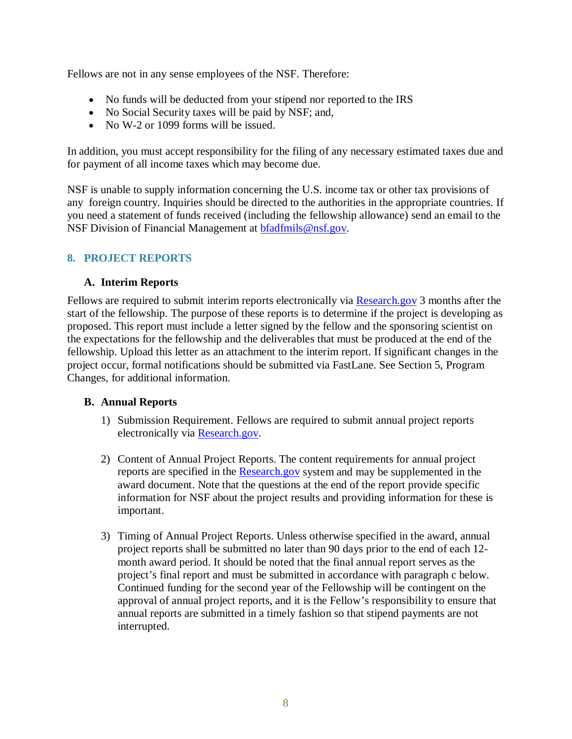Fellows are not in any sense employees of the NSF. Therefore:

- No funds will be deducted from your stipend nor reported to the IRS
- No Social Security taxes will be paid by NSF; and,
- No W-2 or 1099 forms will be issued.

In addition, you must accept responsibility for the filing of any necessary estimated taxes due and for payment of all income taxes which may become due.

NSF is unable to supply information concerning the U.S. income tax or other tax provisions of any foreign country. Inquiries should be directed to the authorities in the appropriate countries. If you need a statement of funds received (including the fellowship allowance) send an email to the NSF Division of Financial Management at [bfadfmils@nsf.gov.](mailto:bfadfmils@nsf.gov)

## <span id="page-7-0"></span>**8. PROJECT REPORTS**

## **A. Interim Reports**

Fellows are required to submit interim reports electronically via [Research.gov](https://www.research.gov/) 3 months after the start of the fellowship. The purpose of these reports is to determine if the project is developing as proposed. This report must include a letter signed by the fellow and the sponsoring scientist on the expectations for the fellowship and the deliverables that must be produced at the end of the fellowship. Upload this letter as an attachment to the interim report. If significant changes in the project occur, formal notifications should be submitted via FastLane. See Section 5, Program Changes, for additional information.

## **B. Annual Reports**

- 1) Submission Requirement. Fellows are required to submit annual project reports electronically via [Research.gov.](https://www.research.gov/)
- 2) Content of Annual Project Reports. The content requirements for annual project reports are specified in the [Research.gov](https://www.research.gov/) system and may be supplemented in the award document. Note that the questions at the end of the report provide specific information for NSF about the project results and providing information for these is important.
- 3) Timing of Annual Project Reports. Unless otherwise specified in the award, annual project reports shall be submitted no later than 90 days prior to the end of each 12 month award period. It should be noted that the final annual report serves as the project's final report and must be submitted in accordance with paragraph c below. Continued funding for the second year of the Fellowship will be contingent on the approval of annual project reports, and it is the Fellow's responsibility to ensure that annual reports are submitted in a timely fashion so that stipend payments are not interrupted.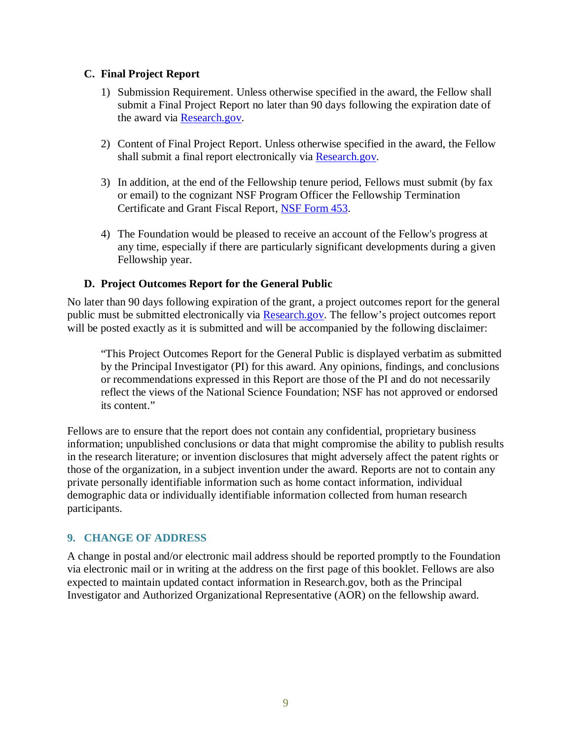## **C. Final Project Report**

- 1) Submission Requirement. Unless otherwise specified in the award, the Fellow shall submit a Final Project Report no later than 90 days following the expiration date of the award via **Research.gov**.
- 2) Content of Final Project Report. Unless otherwise specified in the award, the Fellow shall submit a final report electronically via [Research.gov.](https://www.research.gov/)
- 3) In addition, at the end of the Fellowship tenure period, Fellows must submit (by fax or email) to the cognizant NSF Program Officer the Fellowship Termination Certificate and Grant Fiscal Report, [NSF Form 453.](https://www.nsf.gov/publications/pub_summ.jsp?ods_key=fellowtermfm453)
- 4) The Foundation would be pleased to receive an account of the Fellow's progress at any time, especially if there are particularly significant developments during a given Fellowship year.

# **D. Project Outcomes Report for the General Public**

No later than 90 days following expiration of the grant, a project outcomes report for the general public must be submitted electronically via [Research.gov.](https://www.research.gov/) The fellow's project outcomes report will be posted exactly as it is submitted and will be accompanied by the following disclaimer:

"This Project Outcomes Report for the General Public is displayed verbatim as submitted by the Principal Investigator (PI) for this award. Any opinions, findings, and conclusions or recommendations expressed in this Report are those of the PI and do not necessarily reflect the views of the National Science Foundation; NSF has not approved or endorsed its content."

Fellows are to ensure that the report does not contain any confidential, proprietary business information; unpublished conclusions or data that might compromise the ability to publish results in the research literature; or invention disclosures that might adversely affect the patent rights or those of the organization, in a subject invention under the award. Reports are not to contain any private personally identifiable information such as home contact information, individual demographic data or individually identifiable information collected from human research participants.

## <span id="page-8-0"></span>**9. CHANGE OF ADDRESS**

A change in postal and/or electronic mail address should be reported promptly to the Foundation via electronic mail or in writing at the address on the first page of this booklet. Fellows are also expected to maintain updated contact information in Research.gov, both as the Principal Investigator and Authorized Organizational Representative (AOR) on the fellowship award.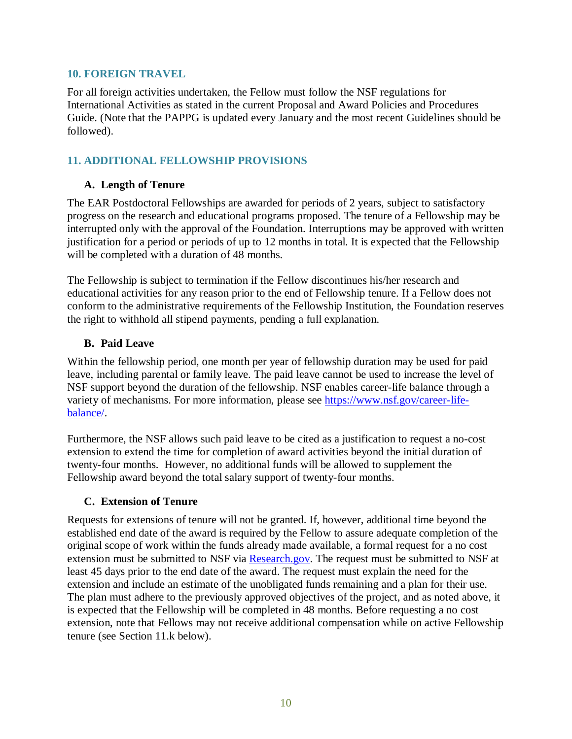#### <span id="page-9-0"></span>**10. FOREIGN TRAVEL**

For all foreign activities undertaken, the Fellow must follow the NSF regulations for International Activities as stated in the current Proposal and Award Policies and Procedures Guide. (Note that the PAPPG is updated every January and the most recent Guidelines should be followed).

# <span id="page-9-1"></span>**11. ADDITIONAL FELLOWSHIP PROVISIONS**

# **A. Length of Tenure**

The EAR Postdoctoral Fellowships are awarded for periods of 2 years, subject to satisfactory progress on the research and educational programs proposed. The tenure of a Fellowship may be interrupted only with the approval of the Foundation. Interruptions may be approved with written justification for a period or periods of up to 12 months in total. It is expected that the Fellowship will be completed with a duration of 48 months.

The Fellowship is subject to termination if the Fellow discontinues his/her research and educational activities for any reason prior to the end of Fellowship tenure. If a Fellow does not conform to the administrative requirements of the Fellowship Institution, the Foundation reserves the right to withhold all stipend payments, pending a full explanation.

# **B. Paid Leave**

Within the fellowship period, one month per year of fellowship duration may be used for paid leave, including parental or family leave. The paid leave cannot be used to increase the level of NSF support beyond the duration of the fellowship. NSF enables career-life balance through a variety of mechanisms. For more information, please see [https://www.nsf.gov/career-life](https://www.nsf.gov/career-life-balance/)[balance/.](https://www.nsf.gov/career-life-balance/)

Furthermore, the NSF allows such paid leave to be cited as a justification to request a no-cost extension to extend the time for completion of award activities beyond the initial duration of twenty-four months. However, no additional funds will be allowed to supplement the Fellowship award beyond the total salary support of twenty-four months.

## **C. Extension of Tenure**

Requests for extensions of tenure will not be granted. If, however, additional time beyond the established end date of the award is required by the Fellow to assure adequate completion of the original scope of work within the funds already made available, a formal request for a no cost extension must be submitted to NSF via [Research.gov.](https://www.research.gov/) The request must be submitted to NSF at least 45 days prior to the end date of the award. The request must explain the need for the extension and include an estimate of the unobligated funds remaining and a plan for their use. The plan must adhere to the previously approved objectives of the project, and as noted above, it is expected that the Fellowship will be completed in 48 months. Before requesting a no cost extension, note that Fellows may not receive additional compensation while on active Fellowship tenure (see Section 11.k below).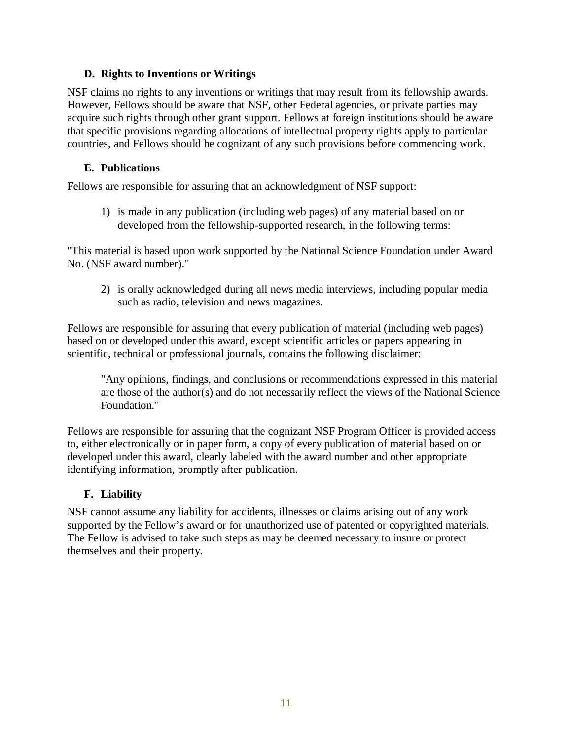## **D. Rights to Inventions or Writings**

NSF claims no rights to any inventions or writings that may result from its fellowship awards. However, Fellows should be aware that NSF, other Federal agencies, or private parties may acquire such rights through other grant support. Fellows at foreign institutions should be aware that specific provisions regarding allocations of intellectual property rights apply to particular countries, and Fellows should be cognizant of any such provisions before commencing work.

# **E. Publications**

Fellows are responsible for assuring that an acknowledgment of NSF support:

1) is made in any publication (including web pages) of any material based on or developed from the fellowship-supported research, in the following terms:

"This material is based upon work supported by the National Science Foundation under Award No. (NSF award number)."

2) is orally acknowledged during all news media interviews, including popular media such as radio, television and news magazines.

Fellows are responsible for assuring that every publication of material (including web pages) based on or developed under this award, except scientific articles or papers appearing in scientific, technical or professional journals, contains the following disclaimer:

"Any opinions, findings, and conclusions or recommendations expressed in this material are those of the author(s) and do not necessarily reflect the views of the National Science Foundation."

Fellows are responsible for assuring that the cognizant NSF Program Officer is provided access to, either electronically or in paper form, a copy of every publication of material based on or developed under this award, clearly labeled with the award number and other appropriate identifying information, promptly after publication.

# **F. Liability**

NSF cannot assume any liability for accidents, illnesses or claims arising out of any work supported by the Fellow's award or for unauthorized use of patented or copyrighted materials. The Fellow is advised to take such steps as may be deemed necessary to insure or protect themselves and their property.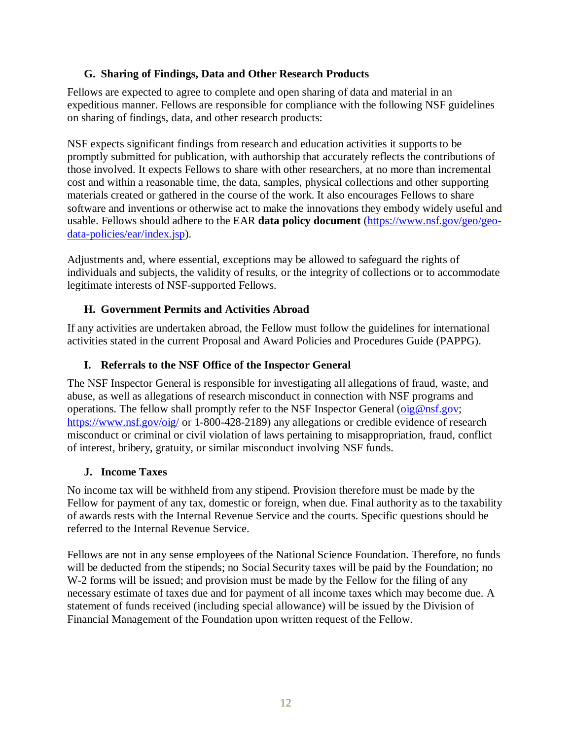## **G. Sharing of Findings, Data and Other Research Products**

Fellows are expected to agree to complete and open sharing of data and material in an expeditious manner. Fellows are responsible for compliance with the following NSF guidelines on sharing of findings, data, and other research products:

NSF expects significant findings from research and education activities it supports to be promptly submitted for publication, with authorship that accurately reflects the contributions of those involved. It expects Fellows to share with other researchers, at no more than incremental cost and within a reasonable time, the data, samples, physical collections and other supporting materials created or gathered in the course of the work. It also encourages Fellows to share software and inventions or otherwise act to make the innovations they embody widely useful and usable. Fellows should adhere to the EAR **data policy document** [\(https://www.nsf.gov/geo/geo](https://www.nsf.gov/geo/geo-data-policies/ear/index.jsp)[data-policies/ear/index.jsp\)](https://www.nsf.gov/geo/geo-data-policies/ear/index.jsp).

Adjustments and, where essential, exceptions may be allowed to safeguard the rights of individuals and subjects, the validity of results, or the integrity of collections or to accommodate legitimate interests of NSF-supported Fellows.

# **H. Government Permits and Activities Abroad**

If any activities are undertaken abroad, the Fellow must follow the guidelines for international activities stated in the current Proposal and Award Policies and Procedures Guide (PAPPG).

## **I. Referrals to the NSF Office of the Inspector General**

The NSF Inspector General is responsible for investigating all allegations of fraud, waste, and abuse, as well as allegations of research misconduct in connection with NSF programs and operations. The fellow shall promptly refer to the NSF Inspector General  $\overline{\text{oig}\,\omega_{\text{ns}}\text{gov}}$ ; <https://www.nsf.gov/oig/> or 1-800-428-2189) any allegations or credible evidence of research misconduct or criminal or civil violation of laws pertaining to misappropriation, fraud, conflict of interest, bribery, gratuity, or similar misconduct involving NSF funds.

## **J. Income Taxes**

No income tax will be withheld from any stipend. Provision therefore must be made by the Fellow for payment of any tax, domestic or foreign, when due. Final authority as to the taxability of awards rests with the Internal Revenue Service and the courts. Specific questions should be referred to the Internal Revenue Service.

Fellows are not in any sense employees of the National Science Foundation. Therefore, no funds will be deducted from the stipends; no Social Security taxes will be paid by the Foundation; no W-2 forms will be issued; and provision must be made by the Fellow for the filing of any necessary estimate of taxes due and for payment of all income taxes which may become due. A statement of funds received (including special allowance) will be issued by the Division of Financial Management of the Foundation upon written request of the Fellow.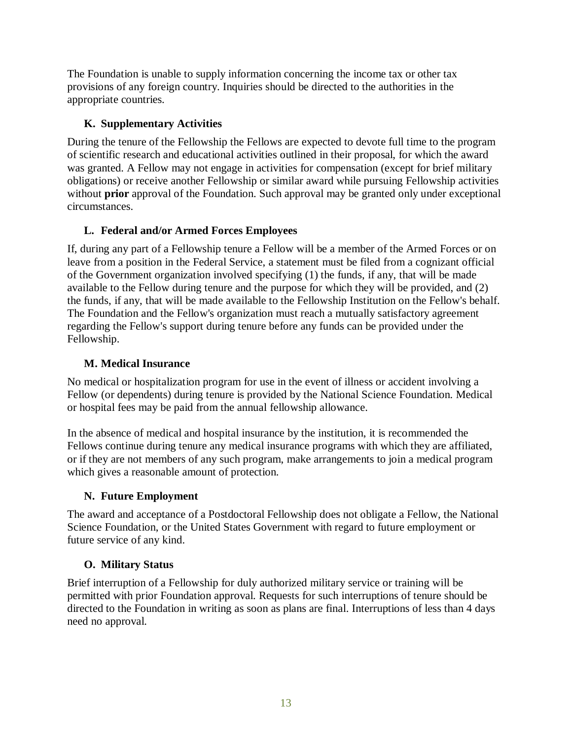The Foundation is unable to supply information concerning the income tax or other tax provisions of any foreign country. Inquiries should be directed to the authorities in the appropriate countries.

# **K. Supplementary Activities**

During the tenure of the Fellowship the Fellows are expected to devote full time to the program of scientific research and educational activities outlined in their proposal, for which the award was granted. A Fellow may not engage in activities for compensation (except for brief military obligations) or receive another Fellowship or similar award while pursuing Fellowship activities without **prior** approval of the Foundation. Such approval may be granted only under exceptional circumstances.

# **L. Federal and/or Armed Forces Employees**

If, during any part of a Fellowship tenure a Fellow will be a member of the Armed Forces or on leave from a position in the Federal Service, a statement must be filed from a cognizant official of the Government organization involved specifying (1) the funds, if any, that will be made available to the Fellow during tenure and the purpose for which they will be provided, and (2) the funds, if any, that will be made available to the Fellowship Institution on the Fellow's behalf. The Foundation and the Fellow's organization must reach a mutually satisfactory agreement regarding the Fellow's support during tenure before any funds can be provided under the Fellowship.

# **M. Medical Insurance**

No medical or hospitalization program for use in the event of illness or accident involving a Fellow (or dependents) during tenure is provided by the National Science Foundation. Medical or hospital fees may be paid from the annual fellowship allowance.

In the absence of medical and hospital insurance by the institution, it is recommended the Fellows continue during tenure any medical insurance programs with which they are affiliated, or if they are not members of any such program, make arrangements to join a medical program which gives a reasonable amount of protection.

# **N. Future Employment**

The award and acceptance of a Postdoctoral Fellowship does not obligate a Fellow, the National Science Foundation, or the United States Government with regard to future employment or future service of any kind.

# **O. Military Status**

Brief interruption of a Fellowship for duly authorized military service or training will be permitted with prior Foundation approval. Requests for such interruptions of tenure should be directed to the Foundation in writing as soon as plans are final. Interruptions of less than 4 days need no approval.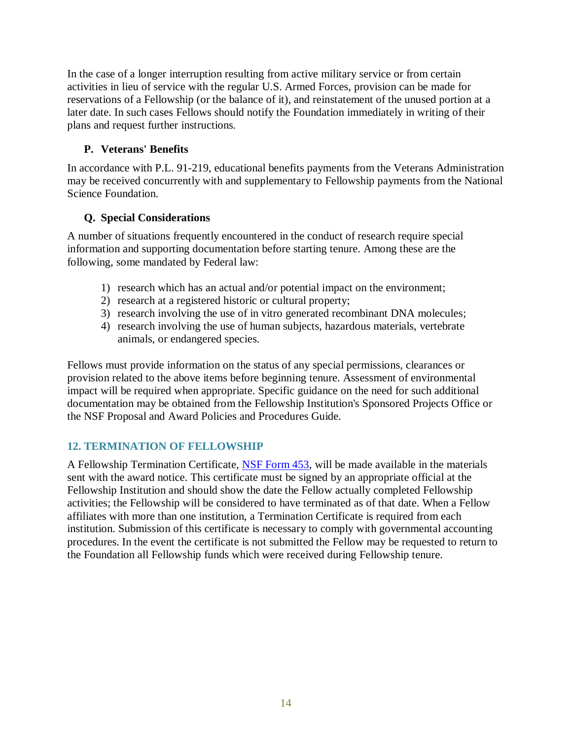In the case of a longer interruption resulting from active military service or from certain activities in lieu of service with the regular U.S. Armed Forces, provision can be made for reservations of a Fellowship (or the balance of it), and reinstatement of the unused portion at a later date. In such cases Fellows should notify the Foundation immediately in writing of their plans and request further instructions.

## **P. Veterans' Benefits**

In accordance with P.L. 91-219, educational benefits payments from the Veterans Administration may be received concurrently with and supplementary to Fellowship payments from the National Science Foundation.

# **Q. Special Considerations**

A number of situations frequently encountered in the conduct of research require special information and supporting documentation before starting tenure. Among these are the following, some mandated by Federal law:

- 1) research which has an actual and/or potential impact on the environment;
- 2) research at a registered historic or cultural property;
- 3) research involving the use of in vitro generated recombinant DNA molecules;
- 4) research involving the use of human subjects, hazardous materials, vertebrate animals, or endangered species.

Fellows must provide information on the status of any special permissions, clearances or provision related to the above items before beginning tenure. Assessment of environmental impact will be required when appropriate. Specific guidance on the need for such additional documentation may be obtained from the Fellowship Institution's Sponsored Projects Office or the NSF Proposal and Award Policies and Procedures Guide.

# <span id="page-13-0"></span>**12. TERMINATION OF FELLOWSHIP**

A Fellowship Termination Certificate, [NSF Form 453,](https://www.nsf.gov/publications/pub_summ.jsp?ods_key=fellowtermfm453) will be made available in the materials sent with the award notice. This certificate must be signed by an appropriate official at the Fellowship Institution and should show the date the Fellow actually completed Fellowship activities; the Fellowship will be considered to have terminated as of that date. When a Fellow affiliates with more than one institution, a Termination Certificate is required from each institution. Submission of this certificate is necessary to comply with governmental accounting procedures. In the event the certificate is not submitted the Fellow may be requested to return to the Foundation all Fellowship funds which were received during Fellowship tenure.